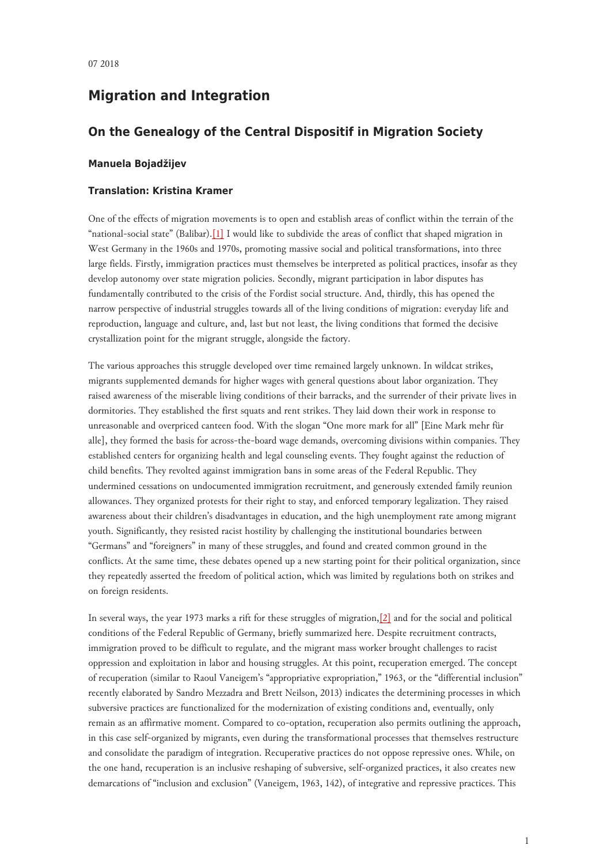# **Migration and Integration**

## **On the Genealogy of the Central Dispositif in Migration Society**

### **Manuela Bojadžijev**

#### **Translation: Kristina Kramer**

<span id="page-0-0"></span>One of the effects of migration movements is to open and establish areas of conflict within the terrain of the "national-social state" (Balibar).[\[1\]](#page-5-0) I would like to subdivide the areas of conflict that shaped migration in West Germany in the 1960s and 1970s, promoting massive social and political transformations, into three large fields. Firstly, immigration practices must themselves be interpreted as political practices, insofar as they develop autonomy over state migration policies. Secondly, migrant participation in labor disputes has fundamentally contributed to the crisis of the Fordist social structure. And, thirdly, this has opened the narrow perspective of industrial struggles towards all of the living conditions of migration: everyday life and reproduction, language and culture, and, last but not least, the living conditions that formed the decisive crystallization point for the migrant struggle, alongside the factory.

The various approaches this struggle developed over time remained largely unknown. In wildcat strikes, migrants supplemented demands for higher wages with general questions about labor organization. They raised awareness of the miserable living conditions of their barracks, and the surrender of their private lives in dormitories. They established the first squats and rent strikes. They laid down their work in response to unreasonable and overpriced canteen food. With the slogan "One more mark for all" [Eine Mark mehr für alle], they formed the basis for across-the-board wage demands, overcoming divisions within companies. They established centers for organizing health and legal counseling events. They fought against the reduction of child benefits. They revolted against immigration bans in some areas of the Federal Republic. They undermined cessations on undocumented immigration recruitment, and generously extended family reunion allowances. They organized protests for their right to stay, and enforced temporary legalization. They raised awareness about their children's disadvantages in education, and the high unemployment rate among migrant youth. Significantly, they resisted racist hostility by challenging the institutional boundaries between "Germans" and "foreigners" in many of these struggles, and found and created common ground in the conflicts. At the same time, these debates opened up a new starting point for their political organization, since they repeatedly asserted the freedom of political action, which was limited by regulations both on strikes and on foreign residents.

<span id="page-0-1"></span>In several ways, the year 1973 marks a rift for these struggles of migration,[\[2\]](#page-5-1) and for the social and political conditions of the Federal Republic of Germany, briefly summarized here. Despite recruitment contracts, immigration proved to be difficult to regulate, and the migrant mass worker brought challenges to racist oppression and exploitation in labor and housing struggles. At this point, recuperation emerged. The concept of recuperation (similar to Raoul Vaneigem's "appropriative expropriation," 1963, or the "differential inclusion" recently elaborated by Sandro Mezzadra and Brett Neilson, 2013) indicates the determining processes in which subversive practices are functionalized for the modernization of existing conditions and, eventually, only remain as an affirmative moment. Compared to co-optation, recuperation also permits outlining the approach, in this case self-organized by migrants, even during the transformational processes that themselves restructure and consolidate the paradigm of integration. Recuperative practices do not oppose repressive ones. While, on the one hand, recuperation is an inclusive reshaping of subversive, self-organized practices, it also creates new demarcations of "inclusion and exclusion" (Vaneigem, 1963, 142), of integrative and repressive practices. This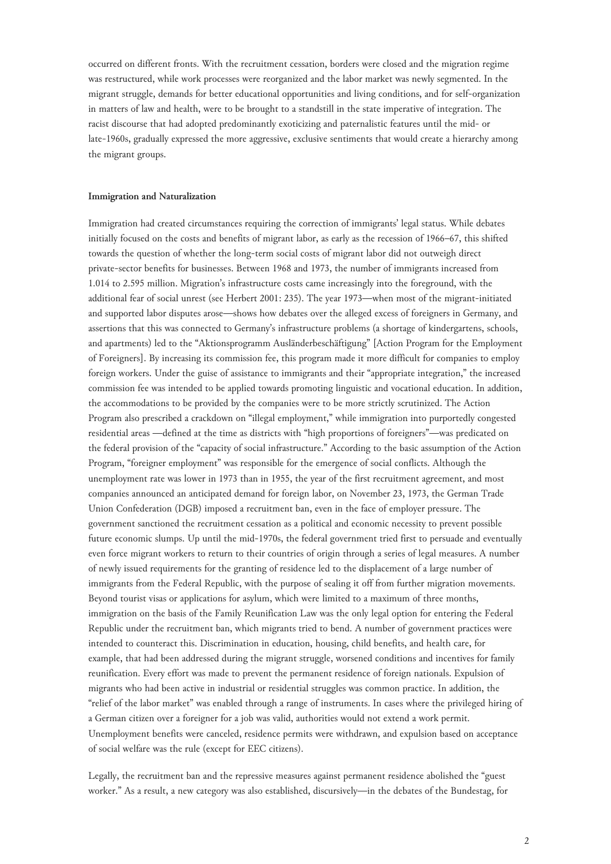occurred on different fronts. With the recruitment cessation, borders were closed and the migration regime was restructured, while work processes were reorganized and the labor market was newly segmented. In the migrant struggle, demands for better educational opportunities and living conditions, and for self-organization in matters of law and health, were to be brought to a standstill in the state imperative of integration. The racist discourse that had adopted predominantly exoticizing and paternalistic features until the mid- or late-1960s, gradually expressed the more aggressive, exclusive sentiments that would create a hierarchy among the migrant groups.

#### **Immigration and Naturalization**

Immigration had created circumstances requiring the correction of immigrants' legal status. While debates initially focused on the costs and benefits of migrant labor, as early as the recession of 1966–67, this shifted towards the question of whether the long-term social costs of migrant labor did not outweigh direct private-sector benefits for businesses. Between 1968 and 1973, the number of immigrants increased from 1.014 to 2.595 million. Migration's infrastructure costs came increasingly into the foreground, with the additional fear of social unrest (see Herbert 2001: 235). The year 1973—when most of the migrant-initiated and supported labor disputes arose—shows how debates over the alleged excess of foreigners in Germany, and assertions that this was connected to Germany's infrastructure problems (a shortage of kindergartens, schools, and apartments) led to the "Aktionsprogramm Ausländerbeschäftigung" [Action Program for the Employment of Foreigners]. By increasing its commission fee, this program made it more difficult for companies to employ foreign workers. Under the guise of assistance to immigrants and their "appropriate integration," the increased commission fee was intended to be applied towards promoting linguistic and vocational education. In addition, the accommodations to be provided by the companies were to be more strictly scrutinized. The Action Program also prescribed a crackdown on "illegal employment," while immigration into purportedly congested residential areas —defined at the time as districts with "high proportions of foreigners"—was predicated on the federal provision of the "capacity of social infrastructure." According to the basic assumption of the Action Program, "foreigner employment" was responsible for the emergence of social conflicts. Although the unemployment rate was lower in 1973 than in 1955, the year of the first recruitment agreement, and most companies announced an anticipated demand for foreign labor, on November 23, 1973, the German Trade Union Confederation (DGB) imposed a recruitment ban, even in the face of employer pressure. The government sanctioned the recruitment cessation as a political and economic necessity to prevent possible future economic slumps. Up until the mid-1970s, the federal government tried first to persuade and eventually even force migrant workers to return to their countries of origin through a series of legal measures. A number of newly issued requirements for the granting of residence led to the displacement of a large number of immigrants from the Federal Republic, with the purpose of sealing it off from further migration movements. Beyond tourist visas or applications for asylum, which were limited to a maximum of three months, immigration on the basis of the Family Reunification Law was the only legal option for entering the Federal Republic under the recruitment ban, which migrants tried to bend. A number of government practices were intended to counteract this. Discrimination in education, housing, child benefits, and health care, for example, that had been addressed during the migrant struggle, worsened conditions and incentives for family reunification. Every effort was made to prevent the permanent residence of foreign nationals. Expulsion of migrants who had been active in industrial or residential struggles was common practice. In addition, the "relief of the labor market" was enabled through a range of instruments. In cases where the privileged hiring of a German citizen over a foreigner for a job was valid, authorities would not extend a work permit. Unemployment benefits were canceled, residence permits were withdrawn, and expulsion based on acceptance of social welfare was the rule (except for EEC citizens).

Legally, the recruitment ban and the repressive measures against permanent residence abolished the "guest worker." As a result, a new category was also established, discursively—in the debates of the Bundestag, for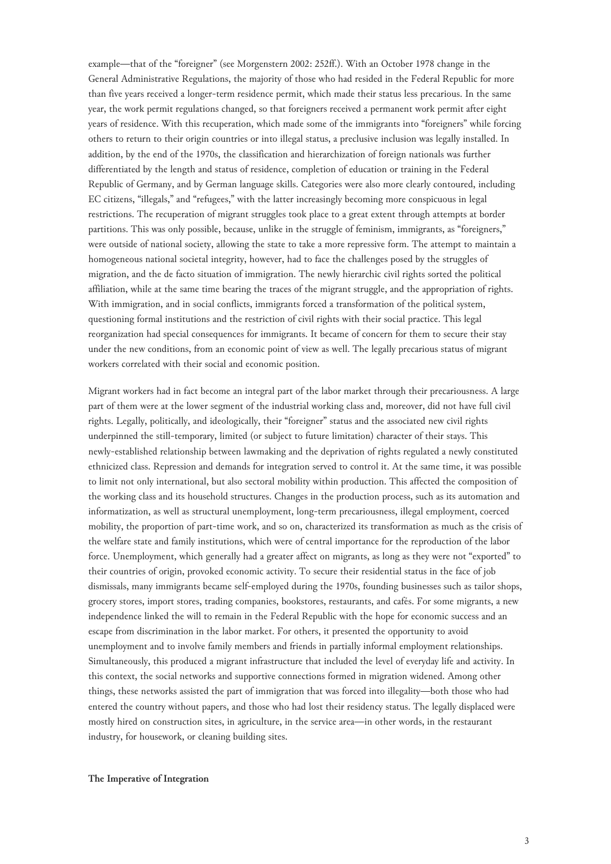example—that of the "foreigner" (see Morgenstern 2002: 252ff.). With an October 1978 change in the General Administrative Regulations, the majority of those who had resided in the Federal Republic for more than five years received a longer-term residence permit, which made their status less precarious. In the same year, the work permit regulations changed, so that foreigners received a permanent work permit after eight years of residence. With this recuperation, which made some of the immigrants into "foreigners" while forcing others to return to their origin countries or into illegal status, a preclusive inclusion was legally installed. In addition, by the end of the 1970s, the classification and hierarchization of foreign nationals was further differentiated by the length and status of residence, completion of education or training in the Federal Republic of Germany, and by German language skills. Categories were also more clearly contoured, including EC citizens, "illegals," and "refugees," with the latter increasingly becoming more conspicuous in legal restrictions. The recuperation of migrant struggles took place to a great extent through attempts at border partitions. This was only possible, because, unlike in the struggle of feminism, immigrants, as "foreigners," were outside of national society, allowing the state to take a more repressive form. The attempt to maintain a homogeneous national societal integrity, however, had to face the challenges posed by the struggles of migration, and the de facto situation of immigration. The newly hierarchic civil rights sorted the political affiliation, while at the same time bearing the traces of the migrant struggle, and the appropriation of rights. With immigration, and in social conflicts, immigrants forced a transformation of the political system, questioning formal institutions and the restriction of civil rights with their social practice. This legal reorganization had special consequences for immigrants. It became of concern for them to secure their stay under the new conditions, from an economic point of view as well. The legally precarious status of migrant workers correlated with their social and economic position.

Migrant workers had in fact become an integral part of the labor market through their precariousness. A large part of them were at the lower segment of the industrial working class and, moreover, did not have full civil rights. Legally, politically, and ideologically, their "foreigner" status and the associated new civil rights underpinned the still-temporary, limited (or subject to future limitation) character of their stays. This newly-established relationship between lawmaking and the deprivation of rights regulated a newly constituted ethnicized class. Repression and demands for integration served to control it. At the same time, it was possible to limit not only international, but also sectoral mobility within production. This affected the composition of the working class and its household structures. Changes in the production process, such as its automation and informatization, as well as structural unemployment, long-term precariousness, illegal employment, coerced mobility, the proportion of part-time work, and so on, characterized its transformation as much as the crisis of the welfare state and family institutions, which were of central importance for the reproduction of the labor force. Unemployment, which generally had a greater affect on migrants, as long as they were not "exported" to their countries of origin, provoked economic activity. To secure their residential status in the face of job dismissals, many immigrants became self-employed during the 1970s, founding businesses such as tailor shops, grocery stores, import stores, trading companies, bookstores, restaurants, and cafés. For some migrants, a new independence linked the will to remain in the Federal Republic with the hope for economic success and an escape from discrimination in the labor market. For others, it presented the opportunity to avoid unemployment and to involve family members and friends in partially informal employment relationships. Simultaneously, this produced a migrant infrastructure that included the level of everyday life and activity. In this context, the social networks and supportive connections formed in migration widened. Among other things, these networks assisted the part of immigration that was forced into illegality—both those who had entered the country without papers, and those who had lost their residency status. The legally displaced were mostly hired on construction sites, in agriculture, in the service area—in other words, in the restaurant industry, for housework, or cleaning building sites.

#### **The Imperative of Integration**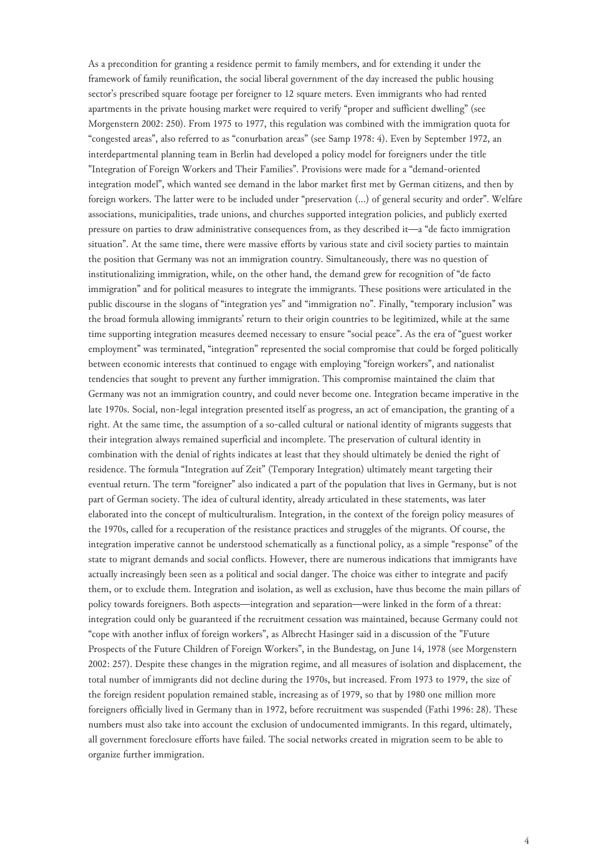As a precondition for granting a residence permit to family members, and for extending it under the framework of family reunification, the social liberal government of the day increased the public housing sector's prescribed square footage per foreigner to 12 square meters. Even immigrants who had rented apartments in the private housing market were required to verify "proper and sufficient dwelling" (see Morgenstern 2002: 250). From 1975 to 1977, this regulation was combined with the immigration quota for "congested areas", also referred to as "conurbation areas" (see Samp 1978: 4). Even by September 1972, an interdepartmental planning team in Berlin had developed a policy model for foreigners under the title "Integration of Foreign Workers and Their Families". Provisions were made for a "demand-oriented integration model", which wanted see demand in the labor market first met by German citizens, and then by foreign workers. The latter were to be included under "preservation (...) of general security and order". Welfare associations, municipalities, trade unions, and churches supported integration policies, and publicly exerted pressure on parties to draw administrative consequences from, as they described it—a "de facto immigration situation". At the same time, there were massive efforts by various state and civil society parties to maintain the position that Germany was not an immigration country. Simultaneously, there was no question of institutionalizing immigration, while, on the other hand, the demand grew for recognition of "de facto immigration" and for political measures to integrate the immigrants. These positions were articulated in the public discourse in the slogans of "integration yes" and "immigration no". Finally, "temporary inclusion" was the broad formula allowing immigrants' return to their origin countries to be legitimized, while at the same time supporting integration measures deemed necessary to ensure "social peace". As the era of "guest worker employment" was terminated, "integration" represented the social compromise that could be forged politically between economic interests that continued to engage with employing "foreign workers", and nationalist tendencies that sought to prevent any further immigration. This compromise maintained the claim that Germany was not an immigration country, and could never become one. Integration became imperative in the late 1970s. Social, non-legal integration presented itself as progress, an act of emancipation, the granting of a right. At the same time, the assumption of a so-called cultural or national identity of migrants suggests that their integration always remained superficial and incomplete. The preservation of cultural identity in combination with the denial of rights indicates at least that they should ultimately be denied the right of residence. The formula "Integration auf Zeit" (Temporary Integration) ultimately meant targeting their eventual return. The term "foreigner" also indicated a part of the population that lives in Germany, but is not part of German society. The idea of cultural identity, already articulated in these statements, was later elaborated into the concept of multiculturalism. Integration, in the context of the foreign policy measures of the 1970s, called for a recuperation of the resistance practices and struggles of the migrants. Of course, the integration imperative cannot be understood schematically as a functional policy, as a simple "response" of the state to migrant demands and social conflicts. However, there are numerous indications that immigrants have actually increasingly been seen as a political and social danger. The choice was either to integrate and pacify them, or to exclude them. Integration and isolation, as well as exclusion, have thus become the main pillars of policy towards foreigners. Both aspects—integration and separation—were linked in the form of a threat: integration could only be guaranteed if the recruitment cessation was maintained, because Germany could not "cope with another influx of foreign workers", as Albrecht Hasinger said in a discussion of the "Future Prospects of the Future Children of Foreign Workers", in the Bundestag, on June 14, 1978 (see Morgenstern 2002: 257). Despite these changes in the migration regime, and all measures of isolation and displacement, the total number of immigrants did not decline during the 1970s, but increased. From 1973 to 1979, the size of the foreign resident population remained stable, increasing as of 1979, so that by 1980 one million more foreigners officially lived in Germany than in 1972, before recruitment was suspended (Fathi 1996: 28). These numbers must also take into account the exclusion of undocumented immigrants. In this regard, ultimately, all government foreclosure efforts have failed. The social networks created in migration seem to be able to organize further immigration.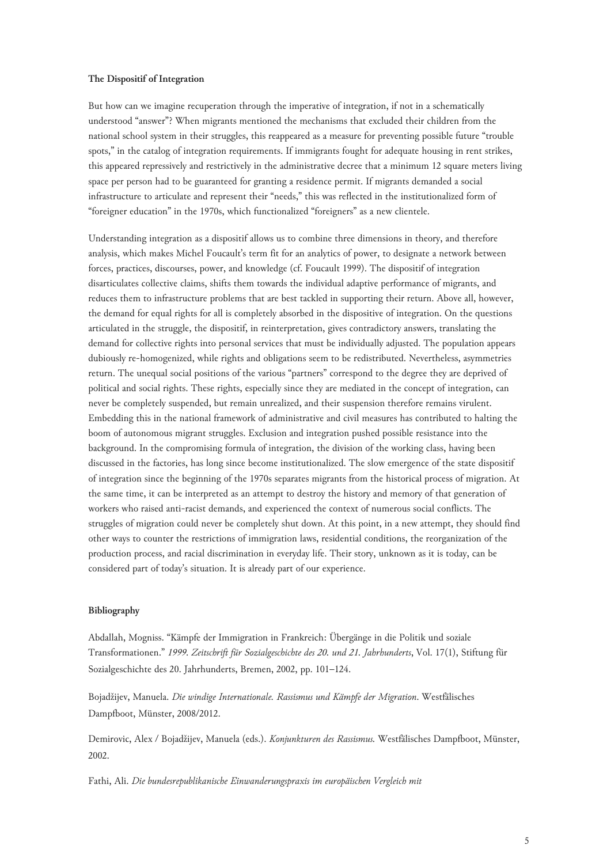#### **The Dispositif of Integration**

But how can we imagine recuperation through the imperative of integration, if not in a schematically understood "answer"? When migrants mentioned the mechanisms that excluded their children from the national school system in their struggles, this reappeared as a measure for preventing possible future "trouble spots," in the catalog of integration requirements. If immigrants fought for adequate housing in rent strikes, this appeared repressively and restrictively in the administrative decree that a minimum 12 square meters living space per person had to be guaranteed for granting a residence permit. If migrants demanded a social infrastructure to articulate and represent their "needs," this was reflected in the institutionalized form of "foreigner education" in the 1970s, which functionalized "foreigners" as a new clientele.

Understanding integration as a dispositif allows us to combine three dimensions in theory, and therefore analysis, which makes Michel Foucault's term fit for an analytics of power, to designate a network between forces, practices, discourses, power, and knowledge (cf. Foucault 1999). The dispositif of integration disarticulates collective claims, shifts them towards the individual adaptive performance of migrants, and reduces them to infrastructure problems that are best tackled in supporting their return. Above all, however, the demand for equal rights for all is completely absorbed in the dispositive of integration. On the questions articulated in the struggle, the dispositif, in reinterpretation, gives contradictory answers, translating the demand for collective rights into personal services that must be individually adjusted. The population appears dubiously re-homogenized, while rights and obligations seem to be redistributed. Nevertheless, asymmetries return. The unequal social positions of the various "partners" correspond to the degree they are deprived of political and social rights. These rights, especially since they are mediated in the concept of integration, can never be completely suspended, but remain unrealized, and their suspension therefore remains virulent. Embedding this in the national framework of administrative and civil measures has contributed to halting the boom of autonomous migrant struggles. Exclusion and integration pushed possible resistance into the background. In the compromising formula of integration, the division of the working class, having been discussed in the factories, has long since become institutionalized. The slow emergence of the state dispositif of integration since the beginning of the 1970s separates migrants from the historical process of migration. At the same time, it can be interpreted as an attempt to destroy the history and memory of that generation of workers who raised anti-racist demands, and experienced the context of numerous social conflicts. The struggles of migration could never be completely shut down. At this point, in a new attempt, they should find other ways to counter the restrictions of immigration laws, residential conditions, the reorganization of the production process, and racial discrimination in everyday life. Their story, unknown as it is today, can be considered part of today's situation. It is already part of our experience.

#### **Bibliography**

Abdallah, Mogniss. "Kämpfe der Immigration in Frankreich: Übergänge in die Politik und soziale Transformationen." *1999. Zeitschrift für Sozialgeschichte des 20. und 21. Jahrhunderts*, Vol. 17(1), Stiftung für Sozialgeschichte des 20. Jahrhunderts, Bremen, 2002, pp. 101–124.

Bojadžijev, Manuela. *Die windige Internationale. Rassismus und Kämpfe der Migration*. Westfälisches Dampfboot, Münster, 2008/2012.

Demirovic, Alex / Bojadžijev, Manuela (eds.). *Konjunkturen des Rassismus.* Westfälisches Dampfboot, Münster, 2002.

Fathi, Ali. *Die bundesrepublikanische Einwanderungspraxis im europäischen Vergleich mit*